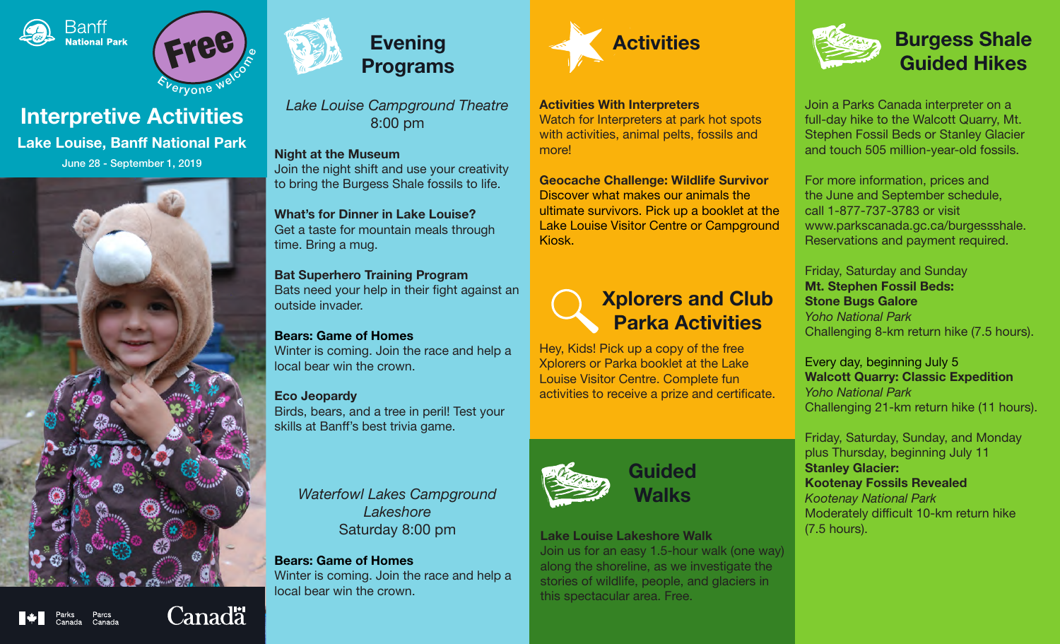



# Interpretive Activities

Lake Louise, Banff National Park June 28 - September 1, 2019





*Lake Louise Campground Theatre* 8:00 pm

Night at the Museum Join the night shift and use your creativity to bring the Burgess Shale fossils to life.

#### What's for Dinner in Lake Louise? Get a taste for mountain meals through time. Bring a mug.

### Bat Superhero Training Program Bats need your help in their fight against an outside invader.

# Bears: Game of Homes

Winter is coming. Join the race and help a local bear win the crown.

# Eco Jeopardy

Birds, bears, and a tree in peril! Test your skills at Banff's best trivia game.

*Waterfowl Lakes Campground Lakeshore* Saturday 8:00 pm

## Bears: Game of Homes Winter is coming. Join the race and help a local bear win the crown.



#### Activities With Interpreters

Watch for Interpreters at park hot spots with activities, animal pelts, fossils and more!

Geocache Challenge: Wildlife Survivor Discover what makes our animals the ultimate survivors. Pick up a booklet at the Lake Louise Visitor Centre or Campground Kiosk.



Hey, Kids! Pick up a copy of the free Xplorers or Parka booklet at the Lake Louise Visitor Centre. Complete fun activities to receive a prize and certificate.



**Guided** Walks

## Lake Louise Lakeshore Walk

Join us for an easy 1.5-hour walk (one way) along the shoreline, as we investigate the stories of wildlife, people, and glaciers in this spectacular area. Free.



Join a Parks Canada interpreter on a full-day hike to the Walcott Quarry, Mt. Stephen Fossil Beds or Stanley Glacier and touch 505 million-year-old fossils.

For more information, prices and the June and September schedule, call 1-877-737-3783 or visit www.parkscanada.gc.ca/burgessshale. Reservations and payment required.

Friday, Saturday and Sunday Mt. Stephen Fossil Beds: Stone Bugs Galore *Yoho National Park*  Challenging 8-km return hike (7.5 hours).

Every day, beginning July 5 Walcott Quarry: Classic Expedition *Yoho National Park* Challenging 21-km return hike (11 hours).

Friday, Saturday, Sunday, and Monday plus Thursday, beginning July 11 Stanley Glacier: Kootenay Fossils Revealed *Kootenay National Park* Moderately difficult 10-km return hike (7.5 hours).

**Canadä**